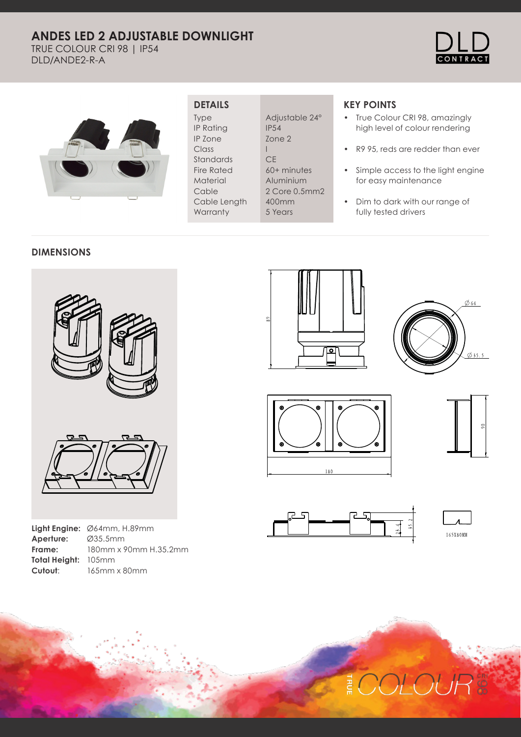# **ANDES LED 2 ADJUSTABLE DOWNLIGHT**

TRUE COLOUR CRI 98 | IP54 DLD/ANDE2-R-A





### **DETAILS**

Type IP Rating IP Zone Class Standards Fire Rated Material Cable Cable Length **Warranty** 

Adjustable 24° IP54 Zone 2 I **CE** 60+ minutes Aluminium 2 Core 0.5mm2 400mm 5 Years

## **KEY POINTS**

- True Colour CRI 98, amazingly high level of colour rendering
- R9 95, reds are redder than ever
- Simple access to the light engine for easy maintenance
- Dim to dark with our range of fully tested drivers

#### **DIMENSIONS**



|                     | <b>Light Engine:</b> $\emptyset$ 64mm, H.89mm |
|---------------------|-----------------------------------------------|
| Aperture: Ø35.5mm   |                                               |
| Frame:              | 180mm x 90mm H.35.2mm                         |
| Total Height: 105mm |                                               |
| Cutout:             | 165mm x 80mm                                  |